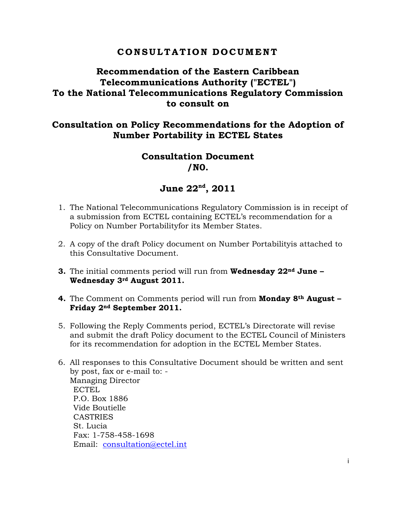# **C O N S U L T A T I O N D O C UM E N T**

# **Recommendation of the Eastern Caribbean Telecommunications Authority ("ECTEL") To the National Telecommunications Regulatory Commission to consult on**

# **Consultation on Policy Recommendations for the Adoption of Number Portability in ECTEL States**

# **Consultation Document /N0.**

# **June 22nd, 2011**

- 1. The National Telecommunications Regulatory Commission is in receipt of a submission from ECTEL containing ECTEL's recommendation for a Policy on Number Portabilityfor its Member States.
- 2. A copy of the draft Policy document on Number Portabilityis attached to this Consultative Document.
- **3.** The initial comments period will run from **Wednesday 22nd June Wednesday 3rd August 2011.**
- **4.** The Comment on Comments period will run from **Monday 8th August Friday 2nd September 2011.**
- 5. Following the Reply Comments period, ECTEL's Directorate will revise and submit the draft Policy document to the ECTEL Council of Ministers for its recommendation for adoption in the ECTEL Member States.
- 6. All responses to this Consultative Document should be written and sent by post, fax or e-mail to: - Managing Director ECTEL P.O. Box 1886 Vide Boutielle CASTRIES St. Lucia Fax: 1-758-458-1698 Email: consultation@ectel.int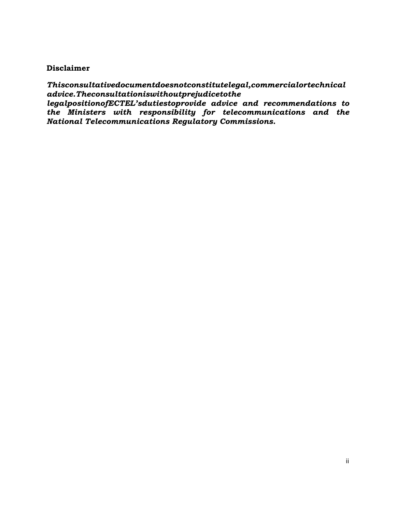#### **Disclaimer**

*Thisconsultativedocumentdoesnotconstitutelegal,commercialortechnical advice.Theconsultationiswithoutprejudicetothe* 

*legalpositionofECTEL'sdutiestoprovide advice and recommendations to the Ministers with responsibility for telecommunications and the National Telecommunications Regulatory Commissions.*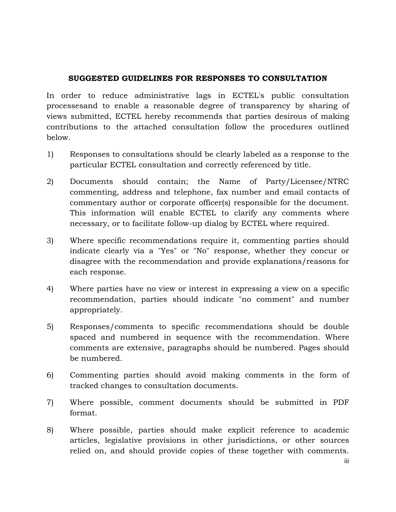#### **SUGGESTED GUIDELINES FOR RESPONSES TO CONSULTATION**

In order to reduce administrative lags in ECTEL's public consultation processesand to enable a reasonable degree of transparency by sharing of views submitted, ECTEL hereby recommends that parties desirous of making contributions to the attached consultation follow the procedures outlined below.

- 1) Responses to consultations should be clearly labeled as a response to the particular ECTEL consultation and correctly referenced by title.
- 2) Documents should contain; the Name of Party/Licensee/NTRC commenting, address and telephone, fax number and email contacts of commentary author or corporate officer(s) responsible for the document. This information will enable ECTEL to clarify any comments where necessary, or to facilitate follow-up dialog by ECTEL where required.
- 3) Where specific recommendations require it, commenting parties should indicate clearly via a "Yes" or "No" response, whether they concur or disagree with the recommendation and provide explanations/reasons for each response.
- 4) Where parties have no view or interest in expressing a view on a specific recommendation, parties should indicate "no comment" and number appropriately.
- 5) Responses/comments to specific recommendations should be double spaced and numbered in sequence with the recommendation. Where comments are extensive, paragraphs should be numbered. Pages should be numbered.
- 6) Commenting parties should avoid making comments in the form of tracked changes to consultation documents.
- 7) Where possible, comment documents should be submitted in PDF format.
- 8) Where possible, parties should make explicit reference to academic articles, legislative provisions in other jurisdictions, or other sources relied on, and should provide copies of these together with comments.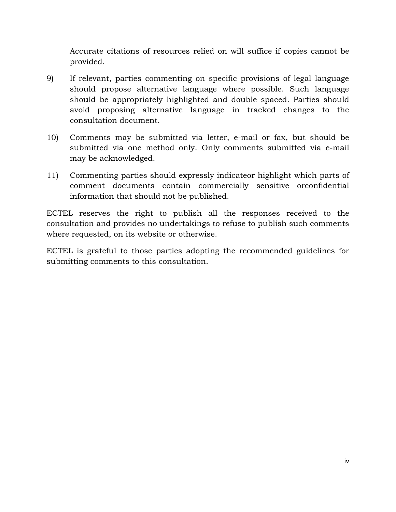Accurate citations of resources relied on will suffice if copies cannot be provided.

- 9) If relevant, parties commenting on specific provisions of legal language should propose alternative language where possible. Such language should be appropriately highlighted and double spaced. Parties should avoid proposing alternative language in tracked changes to the consultation document.
- 10) Comments may be submitted via letter, e-mail or fax, but should be submitted via one method only. Only comments submitted via e-mail may be acknowledged.
- 11) Commenting parties should expressly indicateor highlight which parts of comment documents contain commercially sensitive orconfidential information that should not be published.

ECTEL reserves the right to publish all the responses received to the consultation and provides no undertakings to refuse to publish such comments where requested, on its website or otherwise.

ECTEL is grateful to those parties adopting the recommended guidelines for submitting comments to this consultation.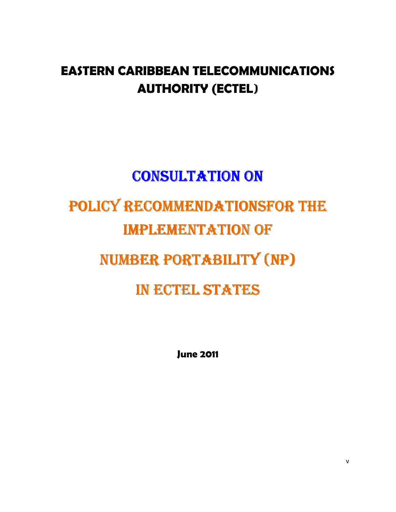# **EASTERN CARIBBEAN TELECOMMUNICATIONS AUTHORITY (ECTEL**)

# **CONSULTATION ON** POLICY RECOMMENDATIONSFOR THE **IMPLEMENTATION OF** NUMBER PORTABILITY (NP) IN ECTEL STATES

**June 2011**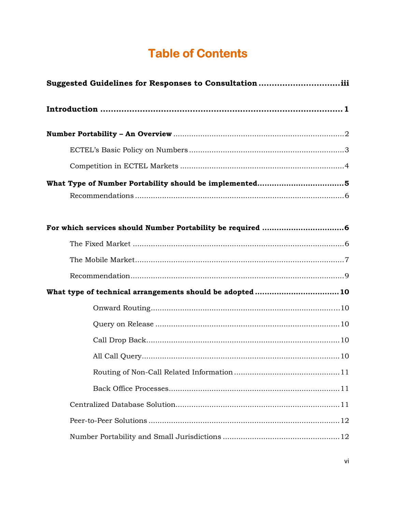# **Table of Contents**

| Suggested Guidelines for Responses to Consultationiii<br>What type of technical arrangements should be adopted 10 |
|-------------------------------------------------------------------------------------------------------------------|
|                                                                                                                   |
|                                                                                                                   |
|                                                                                                                   |
|                                                                                                                   |
|                                                                                                                   |
|                                                                                                                   |
|                                                                                                                   |
|                                                                                                                   |
|                                                                                                                   |
|                                                                                                                   |
|                                                                                                                   |
|                                                                                                                   |
|                                                                                                                   |
|                                                                                                                   |
|                                                                                                                   |
|                                                                                                                   |
|                                                                                                                   |
|                                                                                                                   |
|                                                                                                                   |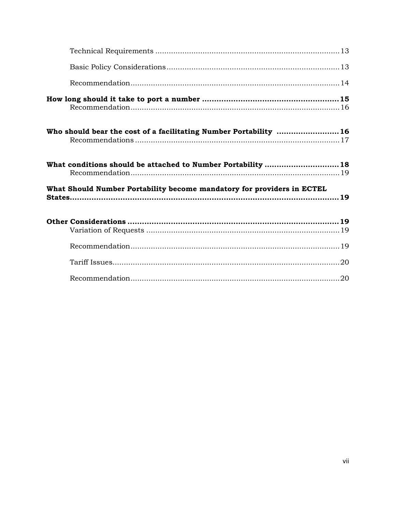| Who should bear the cost of a facilitating Number Portability 16       |  |
|------------------------------------------------------------------------|--|
| What conditions should be attached to Number Portability  18           |  |
| What Should Number Portability become mandatory for providers in ECTEL |  |
|                                                                        |  |
|                                                                        |  |
|                                                                        |  |
|                                                                        |  |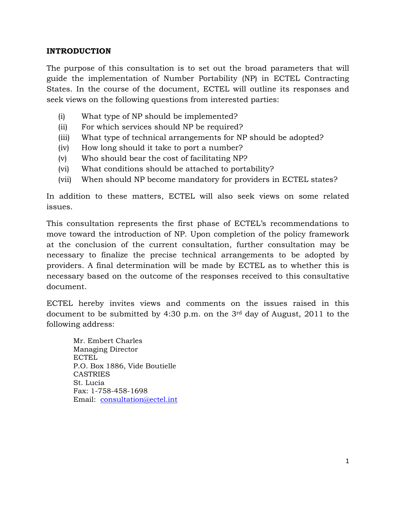#### **INTRODUCTION**

The purpose of this consultation is to set out the broad parameters that will guide the implementation of Number Portability (NP) in ECTEL Contracting States. In the course of the document, ECTEL will outline its responses and seek views on the following questions from interested parties:

- (i) What type of NP should be implemented?
- (ii) For which services should NP be required?
- (iii) What type of technical arrangements for NP should be adopted?
- (iv) How long should it take to port a number?
- (v) Who should bear the cost of facilitating NP?
- (vi) What conditions should be attached to portability?
- (vii) When should NP become mandatory for providers in ECTEL states?

In addition to these matters, ECTEL will also seek views on some related issues.

This consultation represents the first phase of ECTEL's recommendations to move toward the introduction of NP. Upon completion of the policy framework at the conclusion of the current consultation, further consultation may be necessary to finalize the precise technical arrangements to be adopted by providers. A final determination will be made by ECTEL as to whether this is necessary based on the outcome of the responses received to this consultative document.

ECTEL hereby invites views and comments on the issues raised in this document to be submitted by 4:30 p.m. on the 3rd day of August, 2011 to the following address:

Mr. Embert Charles Managing Director ECTEL P.O. Box 1886, Vide Boutielle CASTRIES St. Lucia Fax: 1-758-458-1698 Email: consultation@ectel.int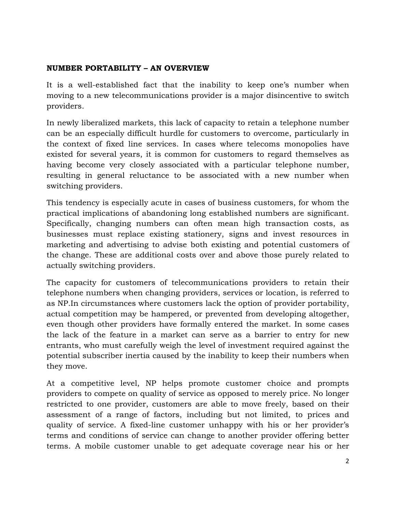#### **NUMBER PORTABILITY – AN OVERVIEW**

It is a well-established fact that the inability to keep one's number when moving to a new telecommunications provider is a major disincentive to switch providers.

In newly liberalized markets, this lack of capacity to retain a telephone number can be an especially difficult hurdle for customers to overcome, particularly in the context of fixed line services. In cases where telecoms monopolies have existed for several years, it is common for customers to regard themselves as having become very closely associated with a particular telephone number, resulting in general reluctance to be associated with a new number when switching providers.

This tendency is especially acute in cases of business customers, for whom the practical implications of abandoning long established numbers are significant. Specifically, changing numbers can often mean high transaction costs, as businesses must replace existing stationery, signs and invest resources in marketing and advertising to advise both existing and potential customers of the change. These are additional costs over and above those purely related to actually switching providers.

The capacity for customers of telecommunications providers to retain their telephone numbers when changing providers, services or location, is referred to as NP.In circumstances where customers lack the option of provider portability, actual competition may be hampered, or prevented from developing altogether, even though other providers have formally entered the market. In some cases the lack of the feature in a market can serve as a barrier to entry for new entrants, who must carefully weigh the level of investment required against the potential subscriber inertia caused by the inability to keep their numbers when they move.

At a competitive level, NP helps promote customer choice and prompts providers to compete on quality of service as opposed to merely price. No longer restricted to one provider, customers are able to move freely, based on their assessment of a range of factors, including but not limited, to prices and quality of service. A fixed-line customer unhappy with his or her provider's terms and conditions of service can change to another provider offering better terms. A mobile customer unable to get adequate coverage near his or her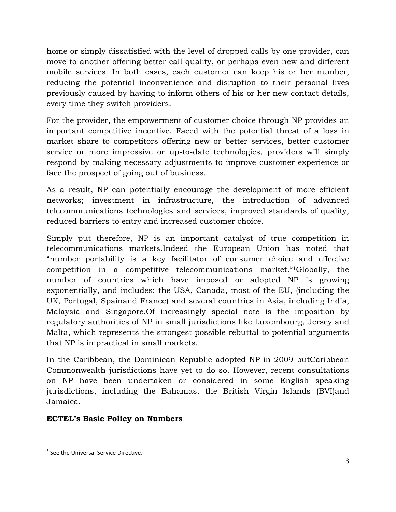home or simply dissatisfied with the level of dropped calls by one provider, can move to another offering better call quality, or perhaps even new and different mobile services. In both cases, each customer can keep his or her number, reducing the potential inconvenience and disruption to their personal lives previously caused by having to inform others of his or her new contact details, every time they switch providers.

For the provider, the empowerment of customer choice through NP provides an important competitive incentive. Faced with the potential threat of a loss in market share to competitors offering new or better services, better customer service or more impressive or up-to-date technologies, providers will simply respond by making necessary adjustments to improve customer experience or face the prospect of going out of business.

As a result, NP can potentially encourage the development of more efficient networks; investment in infrastructure, the introduction of advanced telecommunications technologies and services, improved standards of quality, reduced barriers to entry and increased customer choice.

Simply put therefore, NP is an important catalyst of true competition in telecommunications markets.Indeed the European Union has noted that "number portability is a key facilitator of consumer choice and effective competition in a competitive telecommunications market."<sup>1</sup>Globally, the number of countries which have imposed or adopted NP is growing exponentially, and includes: the USA, Canada, most of the EU, (including the UK, Portugal, Spainand France) and several countries in Asia, including India, Malaysia and Singapore.Of increasingly special note is the imposition by regulatory authorities of NP in small jurisdictions like Luxembourg, Jersey and Malta, which represents the strongest possible rebuttal to potential arguments that NP is impractical in small markets.

In the Caribbean, the Dominican Republic adopted NP in 2009 butCaribbean Commonwealth jurisdictions have yet to do so. However, recent consultations on NP have been undertaken or considered in some English speaking jurisdictions, including the Bahamas, the British Virgin Islands (BVI)and Jamaica.

# **ECTEL's Basic Policy on Numbers**

-

 $1$  See the Universal Service Directive.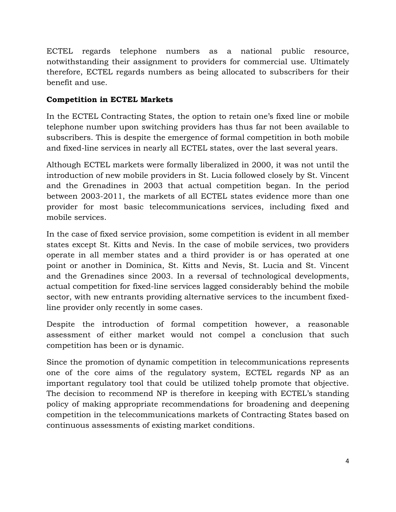ECTEL regards telephone numbers as a national public resource, notwithstanding their assignment to providers for commercial use. Ultimately therefore, ECTEL regards numbers as being allocated to subscribers for their benefit and use.

# **Competition in ECTEL Markets**

In the ECTEL Contracting States, the option to retain one's fixed line or mobile telephone number upon switching providers has thus far not been available to subscribers. This is despite the emergence of formal competition in both mobile and fixed-line services in nearly all ECTEL states, over the last several years.

Although ECTEL markets were formally liberalized in 2000, it was not until the introduction of new mobile providers in St. Lucia followed closely by St. Vincent and the Grenadines in 2003 that actual competition began. In the period between 2003-2011, the markets of all ECTEL states evidence more than one provider for most basic telecommunications services, including fixed and mobile services.

In the case of fixed service provision, some competition is evident in all member states except St. Kitts and Nevis. In the case of mobile services, two providers operate in all member states and a third provider is or has operated at one point or another in Dominica, St. Kitts and Nevis, St. Lucia and St. Vincent and the Grenadines since 2003. In a reversal of technological developments, actual competition for fixed-line services lagged considerably behind the mobile sector, with new entrants providing alternative services to the incumbent fixedline provider only recently in some cases.

Despite the introduction of formal competition however, a reasonable assessment of either market would not compel a conclusion that such competition has been or is dynamic.

Since the promotion of dynamic competition in telecommunications represents one of the core aims of the regulatory system, ECTEL regards NP as an important regulatory tool that could be utilized tohelp promote that objective. The decision to recommend NP is therefore in keeping with ECTEL's standing policy of making appropriate recommendations for broadening and deepening competition in the telecommunications markets of Contracting States based on continuous assessments of existing market conditions.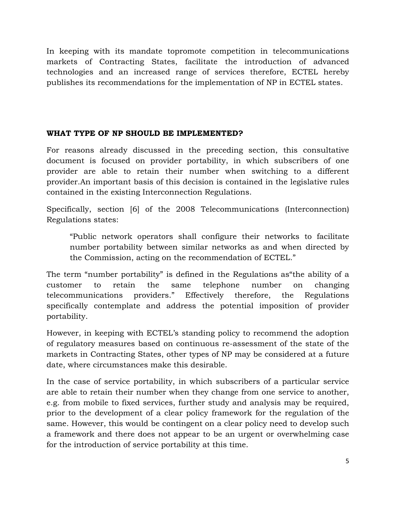In keeping with its mandate topromote competition in telecommunications markets of Contracting States, facilitate the introduction of advanced technologies and an increased range of services therefore, ECTEL hereby publishes its recommendations for the implementation of NP in ECTEL states.

#### **WHAT TYPE OF NP SHOULD BE IMPLEMENTED?**

For reasons already discussed in the preceding section, this consultative document is focused on provider portability, in which subscribers of one provider are able to retain their number when switching to a different provider.An important basis of this decision is contained in the legislative rules contained in the existing Interconnection Regulations.

Specifically, section [6] of the 2008 Telecommunications (Interconnection) Regulations states:

"Public network operators shall configure their networks to facilitate number portability between similar networks as and when directed by the Commission, acting on the recommendation of ECTEL."

The term "number portability" is defined in the Regulations as"the ability of a customer to retain the same telephone number on changing telecommunications providers." Effectively therefore, the Regulations specifically contemplate and address the potential imposition of provider portability.

However, in keeping with ECTEL's standing policy to recommend the adoption of regulatory measures based on continuous re-assessment of the state of the markets in Contracting States, other types of NP may be considered at a future date, where circumstances make this desirable.

In the case of service portability, in which subscribers of a particular service are able to retain their number when they change from one service to another, e.g. from mobile to fixed services, further study and analysis may be required, prior to the development of a clear policy framework for the regulation of the same. However, this would be contingent on a clear policy need to develop such a framework and there does not appear to be an urgent or overwhelming case for the introduction of service portability at this time.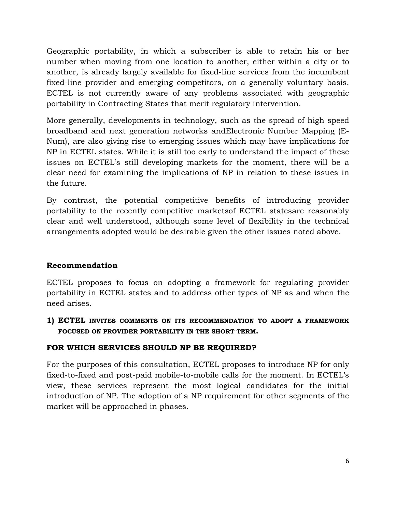Geographic portability, in which a subscriber is able to retain his or her number when moving from one location to another, either within a city or to another, is already largely available for fixed-line services from the incumbent fixed-line provider and emerging competitors, on a generally voluntary basis. ECTEL is not currently aware of any problems associated with geographic portability in Contracting States that merit regulatory intervention.

More generally, developments in technology, such as the spread of high speed broadband and next generation networks andElectronic Number Mapping (E-Num), are also giving rise to emerging issues which may have implications for NP in ECTEL states. While it is still too early to understand the impact of these issues on ECTEL's still developing markets for the moment, there will be a clear need for examining the implications of NP in relation to these issues in the future.

By contrast, the potential competitive benefits of introducing provider portability to the recently competitive marketsof ECTEL statesare reasonably clear and well understood, although some level of flexibility in the technical arrangements adopted would be desirable given the other issues noted above.

#### **Recommendation**

ECTEL proposes to focus on adopting a framework for regulating provider portability in ECTEL states and to address other types of NP as and when the need arises.

**1) ECTEL INVITES COMMENTS ON ITS RECOMMENDATION TO ADOPT A FRAMEWORK FOCUSED ON PROVIDER PORTABILITY IN THE SHORT TERM.** 

# **FOR WHICH SERVICES SHOULD NP BE REQUIRED?**

For the purposes of this consultation, ECTEL proposes to introduce NP for only fixed-to-fixed and post-paid mobile-to-mobile calls for the moment. In ECTEL's view, these services represent the most logical candidates for the initial introduction of NP. The adoption of a NP requirement for other segments of the market will be approached in phases.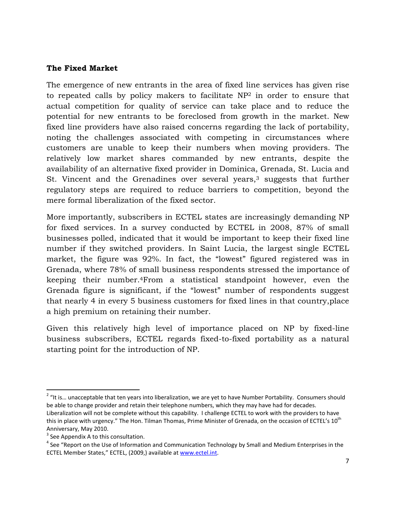#### **The Fixed Market**

The emergence of new entrants in the area of fixed line services has given rise to repeated calls by policy makers to facilitate NP<sup>2</sup> in order to ensure that actual competition for quality of service can take place and to reduce the potential for new entrants to be foreclosed from growth in the market. New fixed line providers have also raised concerns regarding the lack of portability, noting the challenges associated with competing in circumstances where customers are unable to keep their numbers when moving providers. The relatively low market shares commanded by new entrants, despite the availability of an alternative fixed provider in Dominica, Grenada, St. Lucia and St. Vincent and the Grenadines over several years, $3$  suggests that further regulatory steps are required to reduce barriers to competition, beyond the mere formal liberalization of the fixed sector.

More importantly, subscribers in ECTEL states are increasingly demanding NP for fixed services. In a survey conducted by ECTEL in 2008, 87% of small businesses polled, indicated that it would be important to keep their fixed line number if they switched providers. In Saint Lucia, the largest single ECTEL market, the figure was 92%. In fact, the "lowest" figured registered was in Grenada, where 78% of small business respondents stressed the importance of keeping their number.<sup>4</sup>From a statistical standpoint however, even the Grenada figure is significant, if the "lowest" number of respondents suggest that nearly 4 in every 5 business customers for fixed lines in that country,place a high premium on retaining their number.

Given this relatively high level of importance placed on NP by fixed-line business subscribers, ECTEL regards fixed-to-fixed portability as a natural starting point for the introduction of NP.

<sup>&</sup>lt;u>.</u>  $2$  "It is... unacceptable that ten years into liberalization, we are yet to have Number Portability. Consumers should be able to change provider and retain their telephone numbers, which they may have had for decades. Liberalization will not be complete without this capability. I challenge ECTEL to work with the providers to have this in place with urgency." The Hon. Tilman Thomas, Prime Minister of Grenada, on the occasion of ECTEL's 10<sup>th</sup> Anniversary, May 2010.

 $3$  See Appendix A to this consultation.

<sup>&</sup>lt;sup>4</sup> See "Report on the Use of Information and Communication Technology by Small and Medium Enterprises in the ECTEL Member States," ECTEL, (2009,) available at www.ectel.int.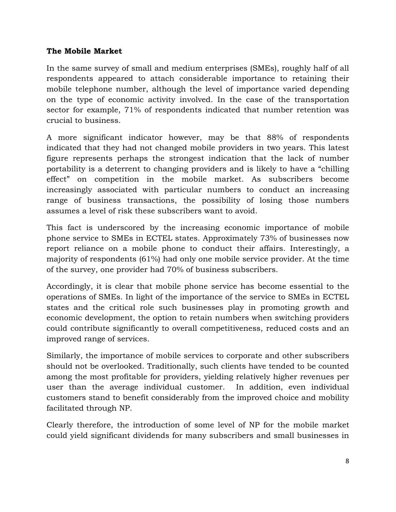#### **The Mobile Market**

In the same survey of small and medium enterprises (SMEs), roughly half of all respondents appeared to attach considerable importance to retaining their mobile telephone number, although the level of importance varied depending on the type of economic activity involved. In the case of the transportation sector for example, 71% of respondents indicated that number retention was crucial to business.

A more significant indicator however, may be that 88% of respondents indicated that they had not changed mobile providers in two years. This latest figure represents perhaps the strongest indication that the lack of number portability is a deterrent to changing providers and is likely to have a "chilling effect" on competition in the mobile market. As subscribers become increasingly associated with particular numbers to conduct an increasing range of business transactions, the possibility of losing those numbers assumes a level of risk these subscribers want to avoid.

This fact is underscored by the increasing economic importance of mobile phone service to SMEs in ECTEL states. Approximately 73% of businesses now report reliance on a mobile phone to conduct their affairs. Interestingly, a majority of respondents (61%) had only one mobile service provider. At the time of the survey, one provider had 70% of business subscribers.

Accordingly, it is clear that mobile phone service has become essential to the operations of SMEs. In light of the importance of the service to SMEs in ECTEL states and the critical role such businesses play in promoting growth and economic development, the option to retain numbers when switching providers could contribute significantly to overall competitiveness, reduced costs and an improved range of services.

Similarly, the importance of mobile services to corporate and other subscribers should not be overlooked. Traditionally, such clients have tended to be counted among the most profitable for providers, yielding relatively higher revenues per user than the average individual customer. In addition, even individual customers stand to benefit considerably from the improved choice and mobility facilitated through NP.

Clearly therefore, the introduction of some level of NP for the mobile market could yield significant dividends for many subscribers and small businesses in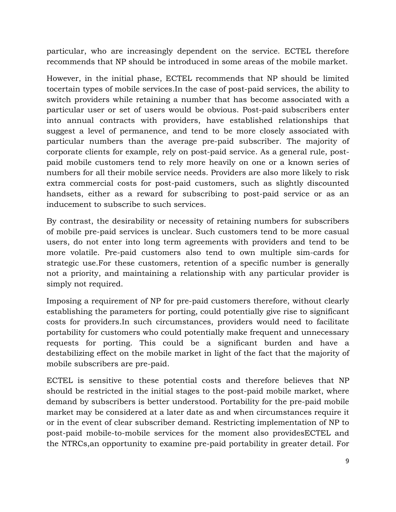particular, who are increasingly dependent on the service. ECTEL therefore recommends that NP should be introduced in some areas of the mobile market.

However, in the initial phase, ECTEL recommends that NP should be limited tocertain types of mobile services.In the case of post-paid services, the ability to switch providers while retaining a number that has become associated with a particular user or set of users would be obvious. Post-paid subscribers enter into annual contracts with providers, have established relationships that suggest a level of permanence, and tend to be more closely associated with particular numbers than the average pre-paid subscriber. The majority of corporate clients for example, rely on post-paid service. As a general rule, postpaid mobile customers tend to rely more heavily on one or a known series of numbers for all their mobile service needs. Providers are also more likely to risk extra commercial costs for post-paid customers, such as slightly discounted handsets, either as a reward for subscribing to post-paid service or as an inducement to subscribe to such services.

By contrast, the desirability or necessity of retaining numbers for subscribers of mobile pre-paid services is unclear. Such customers tend to be more casual users, do not enter into long term agreements with providers and tend to be more volatile. Pre-paid customers also tend to own multiple sim-cards for strategic use.For these customers, retention of a specific number is generally not a priority, and maintaining a relationship with any particular provider is simply not required.

Imposing a requirement of NP for pre-paid customers therefore, without clearly establishing the parameters for porting, could potentially give rise to significant costs for providers.In such circumstances, providers would need to facilitate portability for customers who could potentially make frequent and unnecessary requests for porting. This could be a significant burden and have a destabilizing effect on the mobile market in light of the fact that the majority of mobile subscribers are pre-paid.

ECTEL is sensitive to these potential costs and therefore believes that NP should be restricted in the initial stages to the post-paid mobile market, where demand by subscribers is better understood. Portability for the pre-paid mobile market may be considered at a later date as and when circumstances require it or in the event of clear subscriber demand. Restricting implementation of NP to post-paid mobile-to-mobile services for the moment also providesECTEL and the NTRCs,an opportunity to examine pre-paid portability in greater detail. For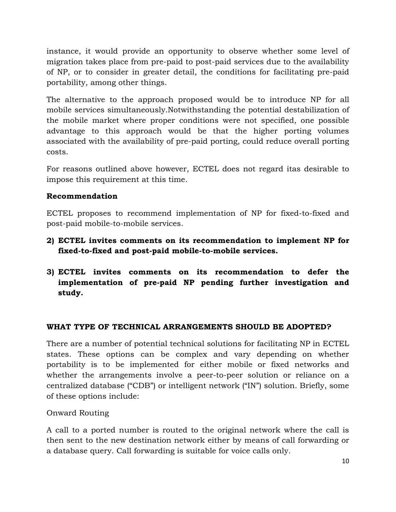instance, it would provide an opportunity to observe whether some level of migration takes place from pre-paid to post-paid services due to the availability of NP, or to consider in greater detail, the conditions for facilitating pre-paid portability, among other things.

The alternative to the approach proposed would be to introduce NP for all mobile services simultaneously.Notwithstanding the potential destabilization of the mobile market where proper conditions were not specified, one possible advantage to this approach would be that the higher porting volumes associated with the availability of pre-paid porting, could reduce overall porting costs.

For reasons outlined above however, ECTEL does not regard itas desirable to impose this requirement at this time.

# **Recommendation**

ECTEL proposes to recommend implementation of NP for fixed-to-fixed and post-paid mobile-to-mobile services.

- **2) ECTEL invites comments on its recommendation to implement NP for fixed-to-fixed and post-paid mobile-to-mobile services.**
- **3) ECTEL invites comments on its recommendation to defer the implementation of pre-paid NP pending further investigation and study.**

# **WHAT TYPE OF TECHNICAL ARRANGEMENTS SHOULD BE ADOPTED?**

There are a number of potential technical solutions for facilitating NP in ECTEL states. These options can be complex and vary depending on whether portability is to be implemented for either mobile or fixed networks and whether the arrangements involve a peer-to-peer solution or reliance on a centralized database ("CDB") or intelligent network ("IN") solution. Briefly, some of these options include:

Onward Routing

A call to a ported number is routed to the original network where the call is then sent to the new destination network either by means of call forwarding or a database query. Call forwarding is suitable for voice calls only.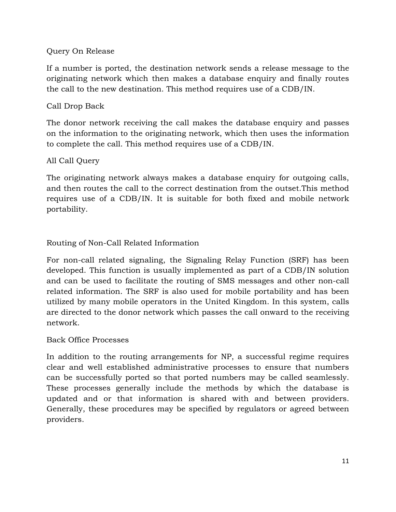#### Query On Release

If a number is ported, the destination network sends a release message to the originating network which then makes a database enquiry and finally routes the call to the new destination. This method requires use of a CDB/IN.

# Call Drop Back

The donor network receiving the call makes the database enquiry and passes on the information to the originating network, which then uses the information to complete the call. This method requires use of a CDB/IN.

#### All Call Query

The originating network always makes a database enquiry for outgoing calls, and then routes the call to the correct destination from the outset.This method requires use of a CDB/IN. It is suitable for both fixed and mobile network portability.

# Routing of Non-Call Related Information

For non-call related signaling, the Signaling Relay Function (SRF) has been developed. This function is usually implemented as part of a CDB/IN solution and can be used to facilitate the routing of SMS messages and other non-call related information. The SRF is also used for mobile portability and has been utilized by many mobile operators in the United Kingdom. In this system, calls are directed to the donor network which passes the call onward to the receiving network.

#### Back Office Processes

In addition to the routing arrangements for NP, a successful regime requires clear and well established administrative processes to ensure that numbers can be successfully ported so that ported numbers may be called seamlessly. These processes generally include the methods by which the database is updated and or that information is shared with and between providers. Generally, these procedures may be specified by regulators or agreed between providers.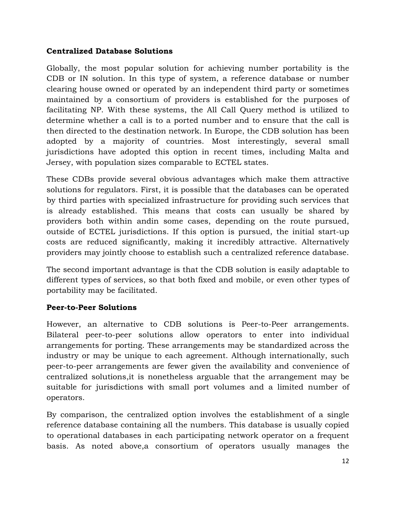#### **Centralized Database Solutions**

Globally, the most popular solution for achieving number portability is the CDB or IN solution. In this type of system, a reference database or number clearing house owned or operated by an independent third party or sometimes maintained by a consortium of providers is established for the purposes of facilitating NP. With these systems, the All Call Query method is utilized to determine whether a call is to a ported number and to ensure that the call is then directed to the destination network. In Europe, the CDB solution has been adopted by a majority of countries. Most interestingly, several small jurisdictions have adopted this option in recent times, including Malta and Jersey, with population sizes comparable to ECTEL states.

These CDBs provide several obvious advantages which make them attractive solutions for regulators. First, it is possible that the databases can be operated by third parties with specialized infrastructure for providing such services that is already established. This means that costs can usually be shared by providers both within andin some cases, depending on the route pursued, outside of ECTEL jurisdictions. If this option is pursued, the initial start-up costs are reduced significantly, making it incredibly attractive. Alternatively providers may jointly choose to establish such a centralized reference database.

The second important advantage is that the CDB solution is easily adaptable to different types of services, so that both fixed and mobile, or even other types of portability may be facilitated.

#### **Peer-to-Peer Solutions**

However, an alternative to CDB solutions is Peer-to-Peer arrangements. Bilateral peer-to-peer solutions allow operators to enter into individual arrangements for porting. These arrangements may be standardized across the industry or may be unique to each agreement. Although internationally, such peer-to-peer arrangements are fewer given the availability and convenience of centralized solutions,it is nonetheless arguable that the arrangement may be suitable for jurisdictions with small port volumes and a limited number of operators.

By comparison, the centralized option involves the establishment of a single reference database containing all the numbers. This database is usually copied to operational databases in each participating network operator on a frequent basis. As noted above,a consortium of operators usually manages the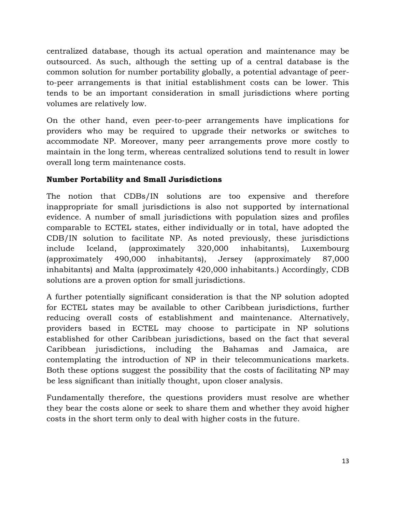centralized database, though its actual operation and maintenance may be outsourced. As such, although the setting up of a central database is the common solution for number portability globally, a potential advantage of peerto-peer arrangements is that initial establishment costs can be lower. This tends to be an important consideration in small jurisdictions where porting volumes are relatively low.

On the other hand, even peer-to-peer arrangements have implications for providers who may be required to upgrade their networks or switches to accommodate NP. Moreover, many peer arrangements prove more costly to maintain in the long term, whereas centralized solutions tend to result in lower overall long term maintenance costs.

# **Number Portability and Small Jurisdictions**

The notion that CDBs/IN solutions are too expensive and therefore inappropriate for small jurisdictions is also not supported by international evidence. A number of small jurisdictions with population sizes and profiles comparable to ECTEL states, either individually or in total, have adopted the CDB/IN solution to facilitate NP. As noted previously, these jurisdictions include Iceland, (approximately 320,000 inhabitants), Luxembourg (approximately 490,000 inhabitants), Jersey (approximately 87,000 inhabitants) and Malta (approximately 420,000 inhabitants.) Accordingly, CDB solutions are a proven option for small jurisdictions.

A further potentially significant consideration is that the NP solution adopted for ECTEL states may be available to other Caribbean jurisdictions, further reducing overall costs of establishment and maintenance. Alternatively, providers based in ECTEL may choose to participate in NP solutions established for other Caribbean jurisdictions, based on the fact that several Caribbean jurisdictions, including the Bahamas and Jamaica, are contemplating the introduction of NP in their telecommunications markets. Both these options suggest the possibility that the costs of facilitating NP may be less significant than initially thought, upon closer analysis.

Fundamentally therefore, the questions providers must resolve are whether they bear the costs alone or seek to share them and whether they avoid higher costs in the short term only to deal with higher costs in the future.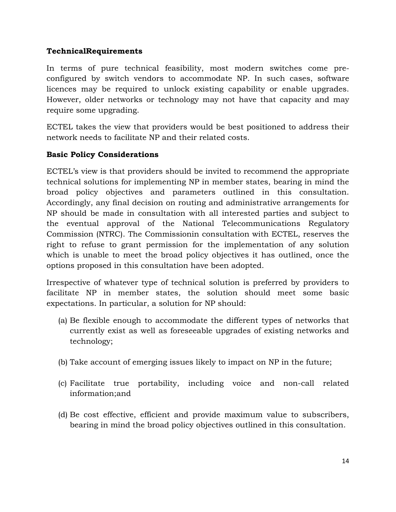#### **TechnicalRequirements**

In terms of pure technical feasibility, most modern switches come preconfigured by switch vendors to accommodate NP. In such cases, software licences may be required to unlock existing capability or enable upgrades. However, older networks or technology may not have that capacity and may require some upgrading.

ECTEL takes the view that providers would be best positioned to address their network needs to facilitate NP and their related costs.

#### **Basic Policy Considerations**

ECTEL's view is that providers should be invited to recommend the appropriate technical solutions for implementing NP in member states, bearing in mind the broad policy objectives and parameters outlined in this consultation. Accordingly, any final decision on routing and administrative arrangements for NP should be made in consultation with all interested parties and subject to the eventual approval of the National Telecommunications Regulatory Commission (NTRC). The Commissionin consultation with ECTEL, reserves the right to refuse to grant permission for the implementation of any solution which is unable to meet the broad policy objectives it has outlined, once the options proposed in this consultation have been adopted.

Irrespective of whatever type of technical solution is preferred by providers to facilitate NP in member states, the solution should meet some basic expectations. In particular, a solution for NP should:

- (a) Be flexible enough to accommodate the different types of networks that currently exist as well as foreseeable upgrades of existing networks and technology;
- (b) Take account of emerging issues likely to impact on NP in the future;
- (c) Facilitate true portability, including voice and non-call related information;and
- (d) Be cost effective, efficient and provide maximum value to subscribers, bearing in mind the broad policy objectives outlined in this consultation.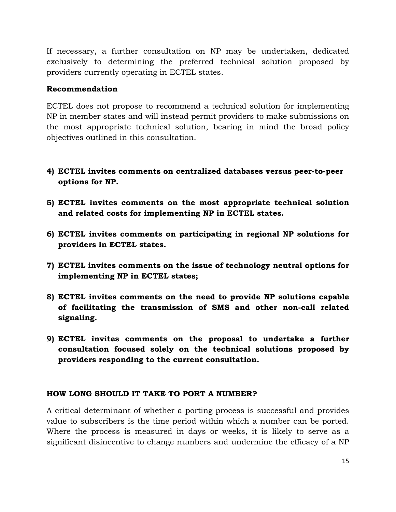If necessary, a further consultation on NP may be undertaken, dedicated exclusively to determining the preferred technical solution proposed by providers currently operating in ECTEL states.

#### **Recommendation**

ECTEL does not propose to recommend a technical solution for implementing NP in member states and will instead permit providers to make submissions on the most appropriate technical solution, bearing in mind the broad policy objectives outlined in this consultation.

- **4) ECTEL invites comments on centralized databases versus peer-to-peer options for NP.**
- **5) ECTEL invites comments on the most appropriate technical solution and related costs for implementing NP in ECTEL states.**
- **6) ECTEL invites comments on participating in regional NP solutions for providers in ECTEL states.**
- **7) ECTEL invites comments on the issue of technology neutral options for implementing NP in ECTEL states;**
- **8) ECTEL invites comments on the need to provide NP solutions capable of facilitating the transmission of SMS and other non-call related signaling.**
- **9) ECTEL invites comments on the proposal to undertake a further consultation focused solely on the technical solutions proposed by providers responding to the current consultation.**

#### **HOW LONG SHOULD IT TAKE TO PORT A NUMBER?**

A critical determinant of whether a porting process is successful and provides value to subscribers is the time period within which a number can be ported. Where the process is measured in days or weeks, it is likely to serve as a significant disincentive to change numbers and undermine the efficacy of a NP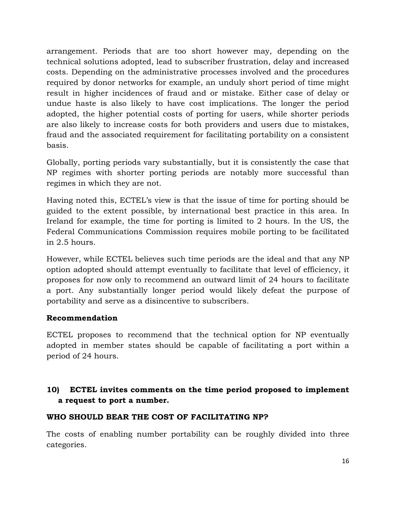arrangement. Periods that are too short however may, depending on the technical solutions adopted, lead to subscriber frustration, delay and increased costs. Depending on the administrative processes involved and the procedures required by donor networks for example, an unduly short period of time might result in higher incidences of fraud and or mistake. Either case of delay or undue haste is also likely to have cost implications. The longer the period adopted, the higher potential costs of porting for users, while shorter periods are also likely to increase costs for both providers and users due to mistakes, fraud and the associated requirement for facilitating portability on a consistent basis.

Globally, porting periods vary substantially, but it is consistently the case that NP regimes with shorter porting periods are notably more successful than regimes in which they are not.

Having noted this, ECTEL's view is that the issue of time for porting should be guided to the extent possible, by international best practice in this area. In Ireland for example, the time for porting is limited to 2 hours. In the US, the Federal Communications Commission requires mobile porting to be facilitated in 2.5 hours.

However, while ECTEL believes such time periods are the ideal and that any NP option adopted should attempt eventually to facilitate that level of efficiency, it proposes for now only to recommend an outward limit of 24 hours to facilitate a port. Any substantially longer period would likely defeat the purpose of portability and serve as a disincentive to subscribers.

#### **Recommendation**

ECTEL proposes to recommend that the technical option for NP eventually adopted in member states should be capable of facilitating a port within a period of 24 hours.

# **10) ECTEL invites comments on the time period proposed to implement a request to port a number.**

#### **WHO SHOULD BEAR THE COST OF FACILITATING NP?**

The costs of enabling number portability can be roughly divided into three categories.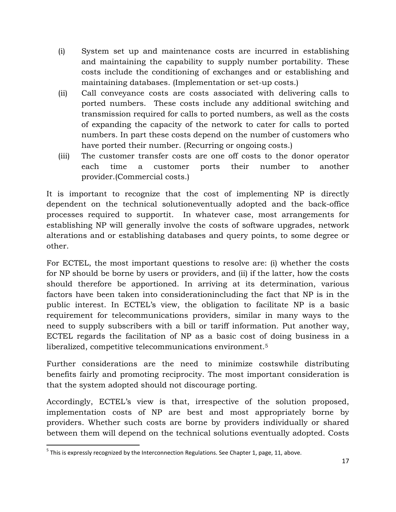- (i) System set up and maintenance costs are incurred in establishing and maintaining the capability to supply number portability. These costs include the conditioning of exchanges and or establishing and maintaining databases. (Implementation or set-up costs.)
- (ii) Call conveyance costs are costs associated with delivering calls to ported numbers. These costs include any additional switching and transmission required for calls to ported numbers, as well as the costs of expanding the capacity of the network to cater for calls to ported numbers. In part these costs depend on the number of customers who have ported their number. (Recurring or ongoing costs.)
- (iii) The customer transfer costs are one off costs to the donor operator each time a customer ports their number to another provider.(Commercial costs.)

It is important to recognize that the cost of implementing NP is directly dependent on the technical solutioneventually adopted and the back-office processes required to supportit. In whatever case, most arrangements for establishing NP will generally involve the costs of software upgrades, network alterations and or establishing databases and query points, to some degree or other.

For ECTEL, the most important questions to resolve are: (i) whether the costs for NP should be borne by users or providers, and (ii) if the latter, how the costs should therefore be apportioned. In arriving at its determination, various factors have been taken into considerationincluding the fact that NP is in the public interest. In ECTEL's view, the obligation to facilitate NP is a basic requirement for telecommunications providers, similar in many ways to the need to supply subscribers with a bill or tariff information. Put another way, ECTEL regards the facilitation of NP as a basic cost of doing business in a liberalized, competitive telecommunications environment.<sup>5</sup>

Further considerations are the need to minimize costswhile distributing benefits fairly and promoting reciprocity. The most important consideration is that the system adopted should not discourage porting.

Accordingly, ECTEL's view is that, irrespective of the solution proposed, implementation costs of NP are best and most appropriately borne by providers. Whether such costs are borne by providers individually or shared between them will depend on the technical solutions eventually adopted. Costs

-

 $<sup>5</sup>$  This is expressly recognized by the Interconnection Regulations. See Chapter 1, page, 11, above.</sup>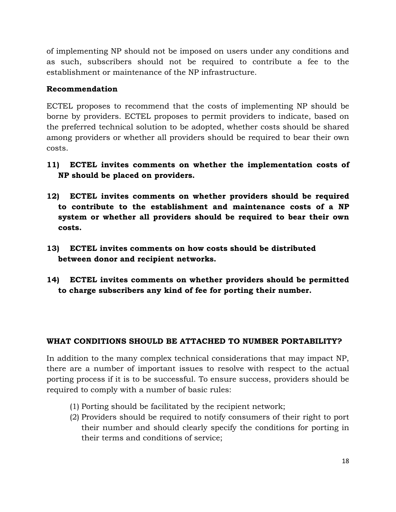of implementing NP should not be imposed on users under any conditions and as such, subscribers should not be required to contribute a fee to the establishment or maintenance of the NP infrastructure.

# **Recommendation**

ECTEL proposes to recommend that the costs of implementing NP should be borne by providers. ECTEL proposes to permit providers to indicate, based on the preferred technical solution to be adopted, whether costs should be shared among providers or whether all providers should be required to bear their own costs.

- **11) ECTEL invites comments on whether the implementation costs of NP should be placed on providers.**
- **12) ECTEL invites comments on whether providers should be required to contribute to the establishment and maintenance costs of a NP system or whether all providers should be required to bear their own costs.**
- **13) ECTEL invites comments on how costs should be distributed between donor and recipient networks.**
- **14) ECTEL invites comments on whether providers should be permitted to charge subscribers any kind of fee for porting their number.**

#### **WHAT CONDITIONS SHOULD BE ATTACHED TO NUMBER PORTABILITY?**

In addition to the many complex technical considerations that may impact NP, there are a number of important issues to resolve with respect to the actual porting process if it is to be successful. To ensure success, providers should be required to comply with a number of basic rules:

- (1) Porting should be facilitated by the recipient network;
- (2) Providers should be required to notify consumers of their right to port their number and should clearly specify the conditions for porting in their terms and conditions of service;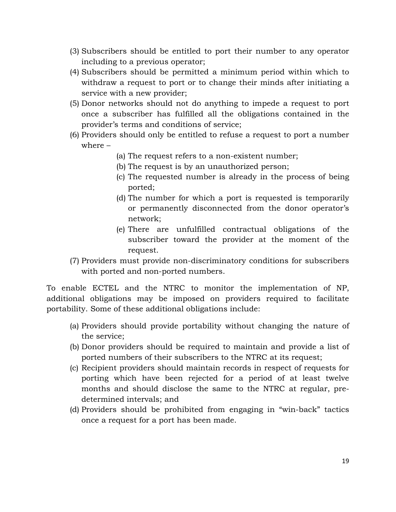- (3) Subscribers should be entitled to port their number to any operator including to a previous operator;
- (4) Subscribers should be permitted a minimum period within which to withdraw a request to port or to change their minds after initiating a service with a new provider;
- (5) Donor networks should not do anything to impede a request to port once a subscriber has fulfilled all the obligations contained in the provider's terms and conditions of service;
- (6) Providers should only be entitled to refuse a request to port a number where –
	- (a) The request refers to a non-existent number;
	- (b) The request is by an unauthorized person;
	- (c) The requested number is already in the process of being ported;
	- (d) The number for which a port is requested is temporarily or permanently disconnected from the donor operator's network;
	- (e) There are unfulfilled contractual obligations of the subscriber toward the provider at the moment of the request.
- (7) Providers must provide non-discriminatory conditions for subscribers with ported and non-ported numbers.

To enable ECTEL and the NTRC to monitor the implementation of NP, additional obligations may be imposed on providers required to facilitate portability. Some of these additional obligations include:

- (a) Providers should provide portability without changing the nature of the service;
- (b) Donor providers should be required to maintain and provide a list of ported numbers of their subscribers to the NTRC at its request;
- (c) Recipient providers should maintain records in respect of requests for porting which have been rejected for a period of at least twelve months and should disclose the same to the NTRC at regular, predetermined intervals; and
- (d) Providers should be prohibited from engaging in "win-back" tactics once a request for a port has been made.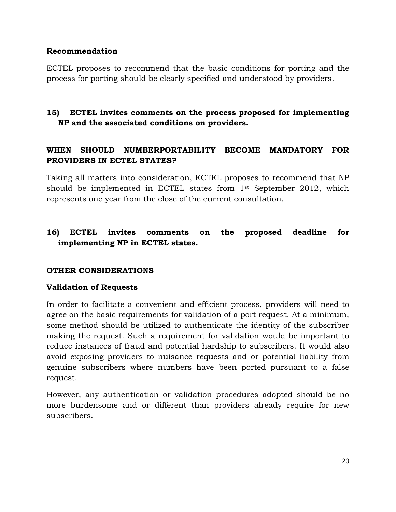#### **Recommendation**

ECTEL proposes to recommend that the basic conditions for porting and the process for porting should be clearly specified and understood by providers.

# **15) ECTEL invites comments on the process proposed for implementing NP and the associated conditions on providers.**

# **WHEN SHOULD NUMBERPORTABILITY BECOME MANDATORY FOR PROVIDERS IN ECTEL STATES?**

Taking all matters into consideration, ECTEL proposes to recommend that NP should be implemented in ECTEL states from 1st September 2012, which represents one year from the close of the current consultation.

# **16) ECTEL invites comments on the proposed deadline for implementing NP in ECTEL states.**

#### **OTHER CONSIDERATIONS**

#### **Validation of Requests**

In order to facilitate a convenient and efficient process, providers will need to agree on the basic requirements for validation of a port request. At a minimum, some method should be utilized to authenticate the identity of the subscriber making the request. Such a requirement for validation would be important to reduce instances of fraud and potential hardship to subscribers. It would also avoid exposing providers to nuisance requests and or potential liability from genuine subscribers where numbers have been ported pursuant to a false request.

However, any authentication or validation procedures adopted should be no more burdensome and or different than providers already require for new subscribers.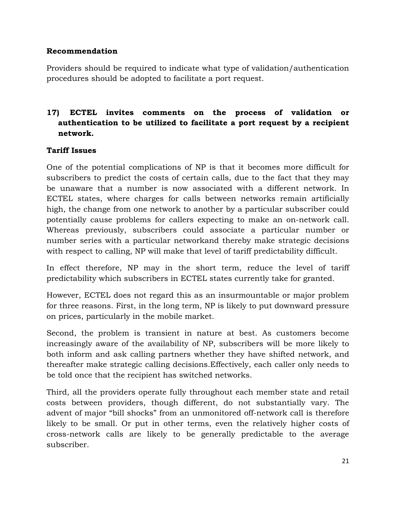#### **Recommendation**

Providers should be required to indicate what type of validation/authentication procedures should be adopted to facilitate a port request.

# **17) ECTEL invites comments on the process of validation or authentication to be utilized to facilitate a port request by a recipient network.**

#### **Tariff Issues**

One of the potential complications of NP is that it becomes more difficult for subscribers to predict the costs of certain calls, due to the fact that they may be unaware that a number is now associated with a different network. In ECTEL states, where charges for calls between networks remain artificially high, the change from one network to another by a particular subscriber could potentially cause problems for callers expecting to make an on-network call. Whereas previously, subscribers could associate a particular number or number series with a particular networkand thereby make strategic decisions with respect to calling, NP will make that level of tariff predictability difficult.

In effect therefore, NP may in the short term, reduce the level of tariff predictability which subscribers in ECTEL states currently take for granted.

However, ECTEL does not regard this as an insurmountable or major problem for three reasons. First, in the long term, NP is likely to put downward pressure on prices, particularly in the mobile market.

Second, the problem is transient in nature at best. As customers become increasingly aware of the availability of NP, subscribers will be more likely to both inform and ask calling partners whether they have shifted network, and thereafter make strategic calling decisions.Effectively, each caller only needs to be told once that the recipient has switched networks.

Third, all the providers operate fully throughout each member state and retail costs between providers, though different, do not substantially vary. The advent of major "bill shocks" from an unmonitored off-network call is therefore likely to be small. Or put in other terms, even the relatively higher costs of cross-network calls are likely to be generally predictable to the average subscriber.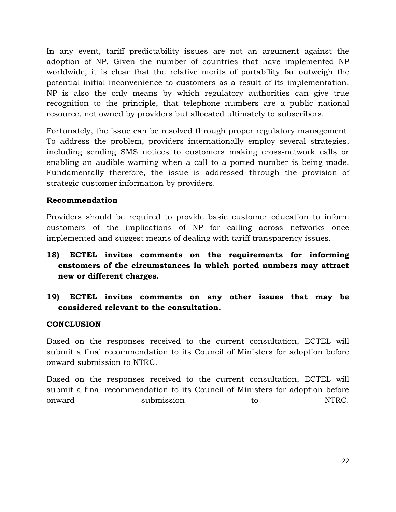In any event, tariff predictability issues are not an argument against the adoption of NP. Given the number of countries that have implemented NP worldwide, it is clear that the relative merits of portability far outweigh the potential initial inconvenience to customers as a result of its implementation. NP is also the only means by which regulatory authorities can give true recognition to the principle, that telephone numbers are a public national resource, not owned by providers but allocated ultimately to subscribers.

Fortunately, the issue can be resolved through proper regulatory management. To address the problem, providers internationally employ several strategies, including sending SMS notices to customers making cross-network calls or enabling an audible warning when a call to a ported number is being made. Fundamentally therefore, the issue is addressed through the provision of strategic customer information by providers.

#### **Recommendation**

Providers should be required to provide basic customer education to inform customers of the implications of NP for calling across networks once implemented and suggest means of dealing with tariff transparency issues.

- **18) ECTEL invites comments on the requirements for informing customers of the circumstances in which ported numbers may attract new or different charges.**
- **19) ECTEL invites comments on any other issues that may be considered relevant to the consultation.**

#### **CONCLUSION**

Based on the responses received to the current consultation, ECTEL will submit a final recommendation to its Council of Ministers for adoption before onward submission to NTRC.

Based on the responses received to the current consultation, ECTEL will submit a final recommendation to its Council of Ministers for adoption before onward submission to NTRC.